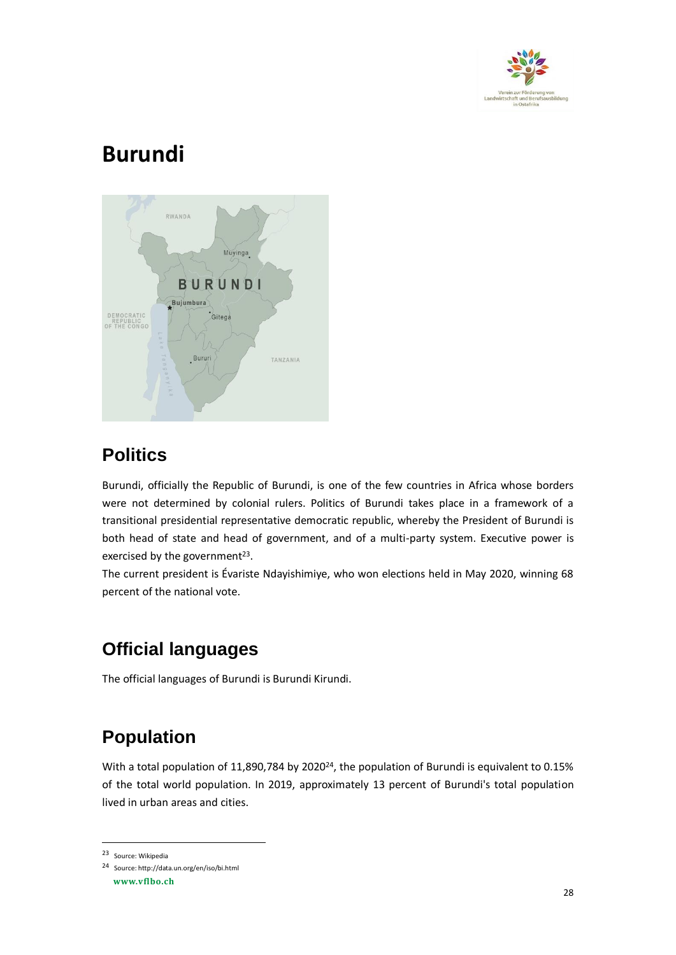

# **Burundi**



#### **Politics**

Burundi, officially the Republic of Burundi, is one of the few countries in Africa whose borders were not determined by colonial rulers. Politics of Burundi takes place in a framework of a transitional presidential representative democratic republic, whereby the President of Burundi is both head of state and head of government, and of a multi-party system. Executive power is exercised by the government<sup>23</sup>.

The current president is Évariste Ndayishimiye, who won elections held in May 2020, winning 68 percent of the national vote.

# **Official languages**

The official languages of Burundi is Burundi Kirundi.

# **Population**

With a total population of 11,890,784 by 2020<sup>24</sup>, the population of Burundi is equivalent to 0.15% of the total world population. In 2019, approximately 13 percent of Burundi's total population lived in urban areas and cities.

<sup>23</sup> Source: Wikipedia

<sup>24</sup> Source: http://data.un.org/en/iso/bi.html

**www.vflbo.ch**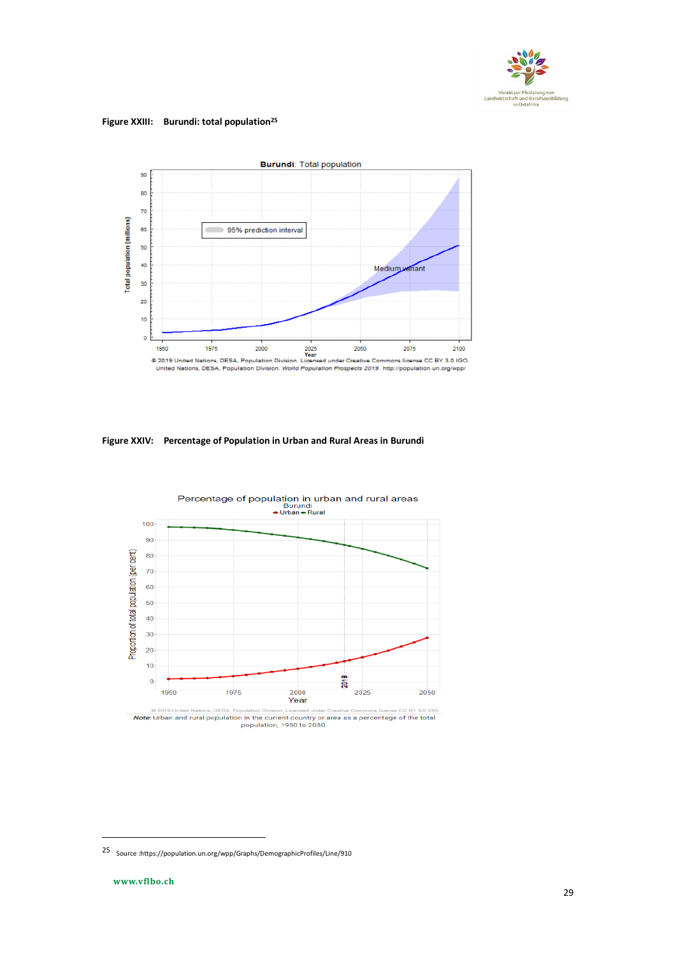

**Figure XXIII: Burundi: total population<sup>25</sup>** 



**Figure XXIV: Percentage of Population in Urban and Rural Areas in Burundi**



<sup>● 2018</sup> United Nations, DESA, Population Division. Licensed under Creative Commons license CC BY 3.0 IGO.<br> **Note:** Urban and rural population in the current country or area as a percentage of the total<br>
population, 1950 to

<sup>25</sup> Source [:https://population.un.org/wpp/Graphs/DemographicProfiles/Line/910](https://population.un.org/wpp/Graphs/DemographicProfiles/Line/910)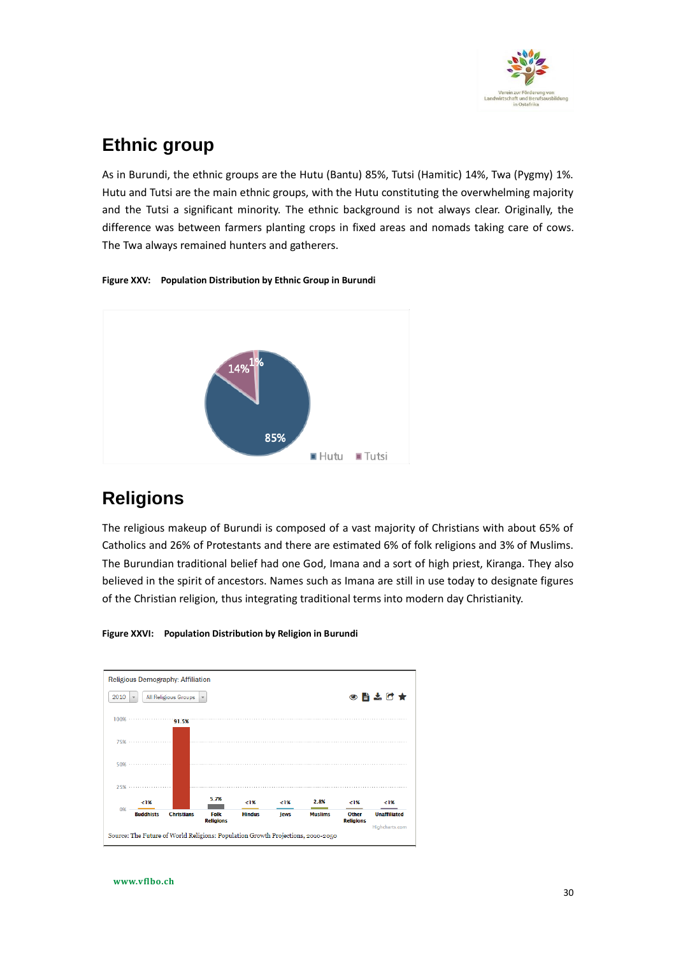

#### **Ethnic group**

As in Burundi, the ethnic groups are the Hutu (Bantu) 85%, Tutsi (Hamitic) 14%, Twa (Pygmy) 1%. Hutu and Tutsi are the main ethnic groups, with the Hutu constituting the overwhelming majority and the Tutsi a significant minority. The ethnic background is not always clear. Originally, the difference was between farmers planting crops in fixed areas and nomads taking care of cows. The Twa always remained hunters and gatherers.

#### **Figure XXV: Population Distribution by Ethnic Group in Burundi**



### **Religions**

The religious makeup of Burundi is composed of a vast majority of Christians with about 65% of Catholics and 26% of Protestants and there are estimated 6% of folk religions and 3% of Muslims. The Burundian traditional belief had one God, Imana and a sort of high priest, Kiranga. They also believed in the spirit of ancestors. Names such as Imana are still in use today to designate figures of the Christian religion, thus integrating traditional terms into modern day Christianity.



#### **Figure XXVI: Population Distribution by Religion in Burundi**